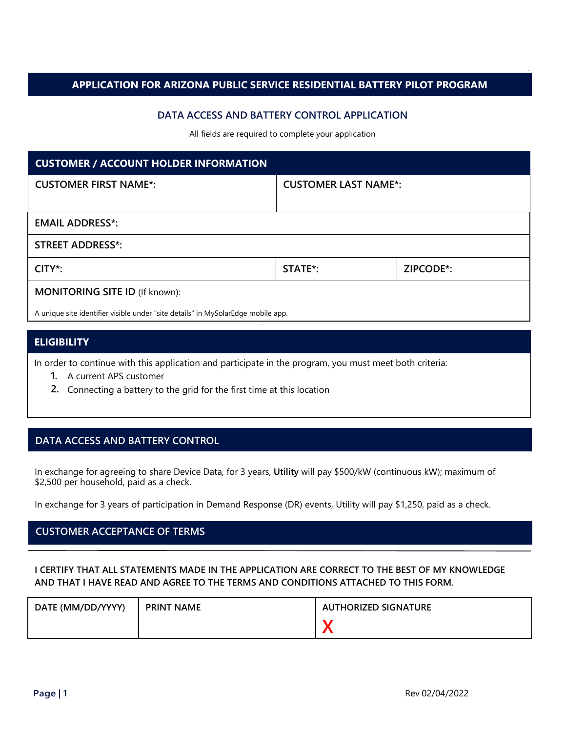### **APPLICATION FOR ARIZONA PUBLIC SERVICE RESIDENTIAL BATTERY PILOT PROGRAM**

### **DATA ACCESS AND BATTERY CONTROL APPLICATION**

All fields are required to complete your application

| <b>CUSTOMER / ACCOUNT HOLDER INFORMATION</b>                                     |                             |           |  |
|----------------------------------------------------------------------------------|-----------------------------|-----------|--|
| <b>CUSTOMER FIRST NAME*:</b>                                                     | <b>CUSTOMER LAST NAME*:</b> |           |  |
|                                                                                  |                             |           |  |
| <b>EMAIL ADDRESS*:</b>                                                           |                             |           |  |
| <b>STREET ADDRESS*:</b>                                                          |                             |           |  |
| $CITY^*$ :                                                                       | STATE <sup>*</sup> :        | ZIPCODE*: |  |
| <b>MONITORING SITE ID (If known):</b>                                            |                             |           |  |
| A unique site identifier visible under "site details" in MySolarEdge mobile app. |                             |           |  |

### **ELIGIBILITY**

In order to continue with this application and participate in the program, you must meet both criteria:

- **1.** A current APS customer
- **2.** Connecting a battery to the grid for the first time at this location

# **DATA ACCESS AND BATTERY CONTROL**

In exchange for agreeing to share Device Data, for 3 years, **Utility** will pay \$500/kW (continuous kW); maximum of \$2,500 per household, paid as a check.

In exchange for 3 years of participation in Demand Response (DR) events, Utility will pay \$1,250, paid as a check.

# **CUSTOMER ACCEPTANCE OF TERMS**

### **I CERTIFY THAT ALL STATEMENTS MADE IN THE APPLICATION ARE CORRECT TO THE BEST OF MY KNOWLEDGE AND THAT I HAVE READ AND AGREE TO THE TERMS AND CONDITIONS ATTACHED TO THIS FORM.**

| DATE (MM/DD/YYYY) | <b>PRINT NAME</b> | <b>AUTHORIZED SIGNATURE</b> |
|-------------------|-------------------|-----------------------------|
|                   |                   |                             |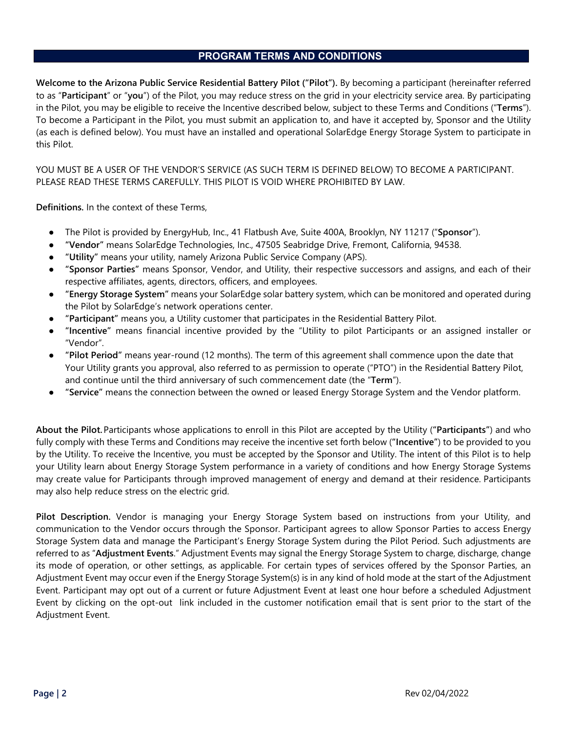# **PROGRAM TERMS AND CONDITIONS**

**Welcome to the Arizona Public Service Residential Battery Pilot ("Pilot").** By becoming a participant (hereinafter referred to as "**Participant**" or "**you**") of the Pilot, you may reduce stress on the grid in your electricity service area. By participating in the Pilot, you may be eligible to receive the Incentive described below, subject to these Terms and Conditions ("**Terms**"). To become a Participant in the Pilot, you must submit an application to, and have it accepted by, Sponsor and the Utility (as each is defined below). You must have an installed and operational SolarEdge Energy Storage System to participate in this Pilot.

YOU MUST BE A USER OF THE VENDOR'S SERVICE (AS SUCH TERM IS DEFINED BELOW) TO BECOME A PARTICIPANT. PLEASE READ THESE TERMS CAREFULLY. THIS PILOT IS VOID WHERE PROHIBITED BY LAW.

**Definitions.** In the context of these Terms,

- The Pilot is provided by EnergyHub, Inc., 41 Flatbush Ave, Suite 400A, Brooklyn, NY 11217 ("**Sponsor**").
- **"Vendor"** means SolarEdge Technologies, Inc., 47505 Seabridge Drive, Fremont, California, 94538.
- "Utility" means your utility, namely Arizona Public Service Company (APS).
- **"Sponsor Parties"** means Sponsor, Vendor, and Utility, their respective successors and assigns, and each of their respective affiliates, agents, directors, officers, and employees.
- **"Energy Storage System"** means your SolarEdge solar battery system, which can be monitored and operated during the Pilot by SolarEdge's network operations center.
- **"Participant"** means you, a Utility customer that participates in the Residential Battery Pilot.
- **"Incentive"** means financial incentive provided by the "Utility to pilot Participants or an assigned installer or "Vendor".
- **"Pilot Period"** means year-round (12 months). The term of this agreement shall commence upon the date that Your Utility grants you approval, also referred to as permission to operate ("PTO") in the Residential Battery Pilot, and continue until the third anniversary of such commencement date (the "**Term**").
- **"Service"** means the connection between the owned or leased Energy Storage System and the Vendor platform.

**About the Pilot.**Participants whose applications to enroll in this Pilot are accepted by the Utility (**"Participants"**) and who fully comply with these Terms and Conditions may receive the incentive set forth below (**"Incentive"**) to be provided to you by the Utility. To receive the Incentive, you must be accepted by the Sponsor and Utility. The intent of this Pilot is to help your Utility learn about Energy Storage System performance in a variety of conditions and how Energy Storage Systems may create value for Participants through improved management of energy and demand at their residence. Participants may also help reduce stress on the electric grid.

**Pilot Description.** Vendor is managing your Energy Storage System based on instructions from your Utility, and communication to the Vendor occurs through the Sponsor. Participant agrees to allow Sponsor Parties to access Energy Storage System data and manage the Participant's Energy Storage System during the Pilot Period. Such adjustments are referred to as "**Adjustment Events**." Adjustment Events may signal the Energy Storage System to charge, discharge, change its mode of operation, or other settings, as applicable. For certain types of services offered by the Sponsor Parties, an Adjustment Event may occur even if the Energy Storage System(s) is in any kind of hold mode at the start of the Adjustment Event. Participant may opt out of a current or future Adjustment Event at least one hour before a scheduled Adjustment Event by clicking on the opt-out link included in the customer notification email that is sent prior to the start of the Adjustment Event.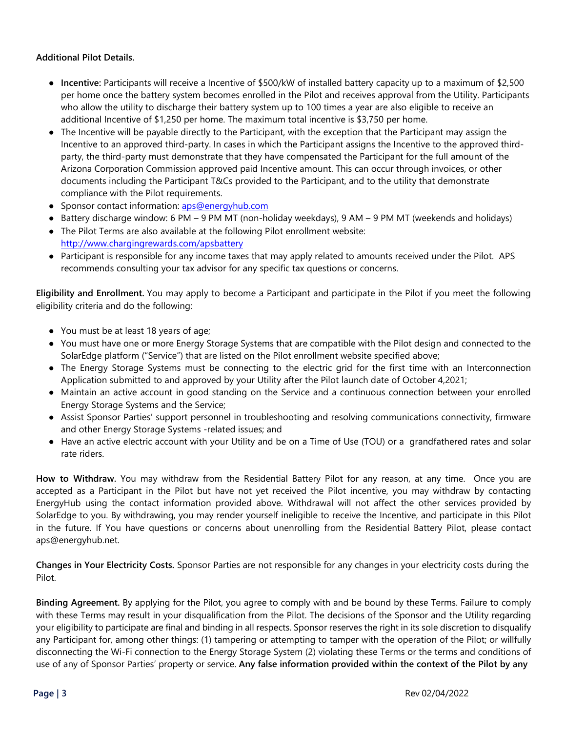### **Additional Pilot Details.**

- **Incentive:** Participants will receive a Incentive of \$500/kW of installed battery capacity up to a maximum of \$2,500 per home once the battery system becomes enrolled in the Pilot and receives approval from the Utility. Participants who allow the utility to discharge their battery system up to 100 times a year are also eligible to receive an additional Incentive of \$1,250 per home. The maximum total incentive is \$3,750 per home.
- The Incentive will be payable directly to the Participant, with the exception that the Participant may assign the Incentive to an approved third-party. In cases in which the Participant assigns the Incentive to the approved thirdparty, the third-party must demonstrate that they have compensated the Participant for the full amount of the Arizona Corporation Commission approved paid Incentive amount. This can occur through invoices, or other documents including the Participant T&Cs provided to the Participant, and to the utility that demonstrate compliance with the Pilot requirements.
- Sponsor contact information: [aps@energyhub.com](mailto:aps@energyhub.com)
- Battery discharge window: 6 PM 9 PM MT (non-holiday weekdays), 9 AM 9 PM MT (weekends and holidays)
- The Pilot Terms are also available at the following Pilot enrollment website: <http://www.chargingrewards.com/apsbattery>
- Participant is responsible for any income taxes that may apply related to amounts received under the Pilot. APS recommends consulting your tax advisor for any specific tax questions or concerns.

**Eligibility and Enrollment.** You may apply to become a Participant and participate in the Pilot if you meet the following eligibility criteria and do the following:

- You must be at least 18 years of age;
- You must have one or more Energy Storage Systems that are compatible with the Pilot design and connected to the SolarEdge platform ("Service") that are listed on the Pilot enrollment website specified above;
- The Energy Storage Systems must be connecting to the electric grid for the first time with an Interconnection Application submitted to and approved by your Utility after the Pilot launch date of October 4,2021;
- Maintain an active account in good standing on the Service and a continuous connection between your enrolled Energy Storage Systems and the Service;
- Assist Sponsor Parties' support personnel in troubleshooting and resolving communications connectivity, firmware and other Energy Storage Systems -related issues; and
- Have an active electric account with your Utility and be on a Time of Use (TOU) or a grandfathered rates and solar rate riders.

**How to Withdraw.** You may withdraw from the Residential Battery Pilot for any reason, at any time. Once you are accepted as a Participant in the Pilot but have not yet received the Pilot incentive, you may withdraw by contacting EnergyHub using the contact information provided above. Withdrawal will not affect the other services provided by SolarEdge to you. By withdrawing, you may render yourself ineligible to receive the Incentive, and participate in this Pilot in the future. If You have questions or concerns about unenrolling from the Residential Battery Pilot, please contact aps@energyhub.net.

**Changes in Your Electricity Costs.** Sponsor Parties are not responsible for any changes in your electricity costs during the Pilot.

**Binding Agreement.** By applying for the Pilot, you agree to comply with and be bound by these Terms. Failure to comply with these Terms may result in your disqualification from the Pilot. The decisions of the Sponsor and the Utility regarding your eligibility to participate are final and binding in all respects. Sponsor reserves the right in its sole discretion to disqualify any Participant for, among other things: (1) tampering or attempting to tamper with the operation of the Pilot; or willfully disconnecting the Wi-Fi connection to the Energy Storage System (2) violating these Terms or the terms and conditions of use of any of Sponsor Parties' property or service. **Any false information provided within the context of the Pilot by any**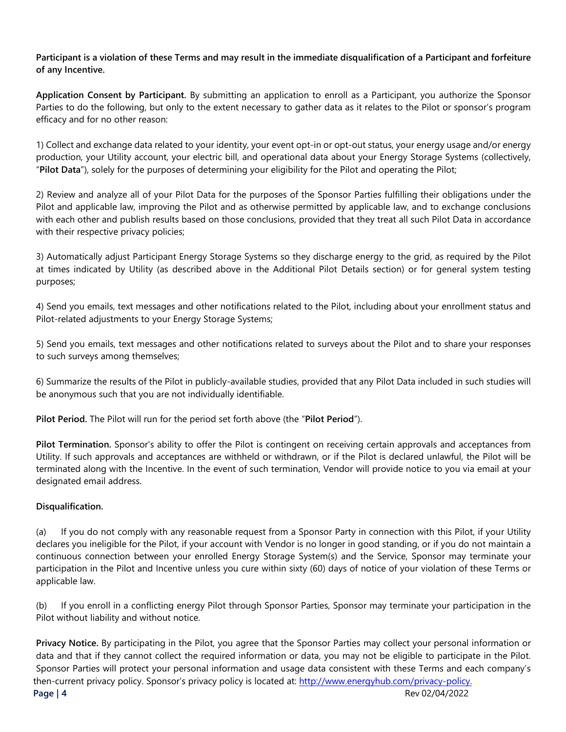### **Participant is a violation of these Terms and may result in the immediate disqualification of a Participant and forfeiture of any Incentive.**

**Application Consent by Participant.** By submitting an application to enroll as a Participant, you authorize the Sponsor Parties to do the following, but only to the extent necessary to gather data as it relates to the Pilot or sponsor's program efficacy and for no other reason:

1) Collect and exchange data related to your identity, your event opt-in or opt-out status, your energy usage and/or energy production, your Utility account, your electric bill, and operational data about your Energy Storage Systems (collectively, "**Pilot Data**"), solely for the purposes of determining your eligibility for the Pilot and operating the Pilot;

2) Review and analyze all of your Pilot Data for the purposes of the Sponsor Parties fulfilling their obligations under the Pilot and applicable law, improving the Pilot and as otherwise permitted by applicable law, and to exchange conclusions with each other and publish results based on those conclusions, provided that they treat all such Pilot Data in accordance with their respective privacy policies;

3) Automatically adjust Participant Energy Storage Systems so they discharge energy to the grid, as required by the Pilot at times indicated by Utility (as described above in the Additional Pilot Details section) or for general system testing purposes;

4) Send you emails, text messages and other notifications related to the Pilot, including about your enrollment status and Pilot-related adjustments to your Energy Storage Systems;

5) Send you emails, text messages and other notifications related to surveys about the Pilot and to share your responses to such surveys among themselves;

6) Summarize the results of the Pilot in publicly-available studies, provided that any Pilot Data included in such studies will be anonymous such that you are not individually identifiable.

**Pilot Period.** The Pilot will run for the period set forth above (the "**Pilot Period**").

**Pilot Termination.** Sponsor's ability to offer the Pilot is contingent on receiving certain approvals and acceptances from Utility. If such approvals and acceptances are withheld or withdrawn, or if the Pilot is declared unlawful, the Pilot will be terminated along with the Incentive. In the event of such termination, Vendor will provide notice to you via email at your designated email address.

#### **Disqualification.**

(a) If you do not comply with any reasonable request from a Sponsor Party in connection with this Pilot, if your Utility declares you ineligible for the Pilot, if your account with Vendor is no longer in good standing, or if you do not maintain a continuous connection between your enrolled Energy Storage System(s) and the Service, Sponsor may terminate your participation in the Pilot and Incentive unless you cure within sixty (60) days of notice of your violation of these Terms or applicable law.

(b) If you enroll in a conflicting energy Pilot through Sponsor Parties, Sponsor may terminate your participation in the Pilot without liability and without notice.

**Privacy Notice.** By participating in the Pilot, you agree that the Sponsor Parties may collect your personal information or data and that if they cannot collect the required information or data, you may not be eligible to participate in the Pilot. Sponsor Parties will protect your personal information and usage data consistent with these Terms and each company's then-current privacy policy. Sponsor's privacy policy is located at: http://www.energyhub.com/privacy-policy. **Page | 4** Rev 02/04/2022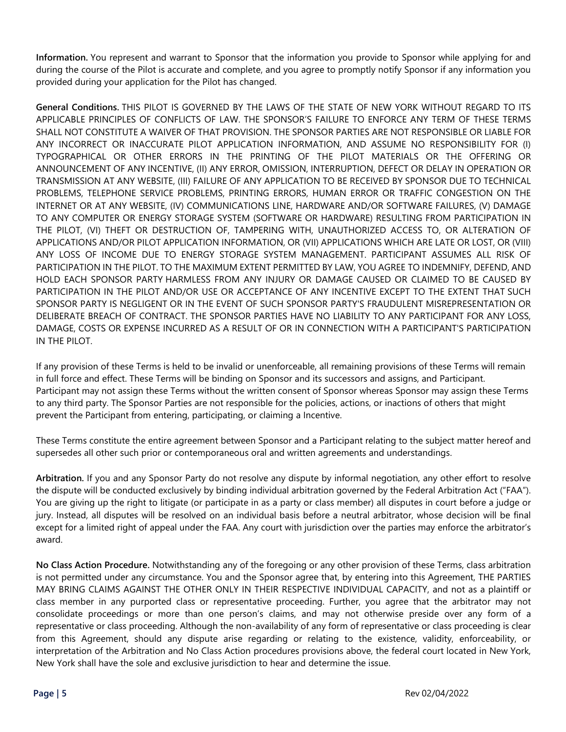**Information.** You represent and warrant to Sponsor that the information you provide to Sponsor while applying for and during the course of the Pilot is accurate and complete, and you agree to promptly notify Sponsor if any information you provided during your application for the Pilot has changed.

**General Conditions.** THIS PILOT IS GOVERNED BY THE LAWS OF THE STATE OF NEW YORK WITHOUT REGARD TO ITS APPLICABLE PRINCIPLES OF CONFLICTS OF LAW. THE SPONSOR'S FAILURE TO ENFORCE ANY TERM OF THESE TERMS SHALL NOT CONSTITUTE A WAIVER OF THAT PROVISION. THE SPONSOR PARTIES ARE NOT RESPONSIBLE OR LIABLE FOR ANY INCORRECT OR INACCURATE PILOT APPLICATION INFORMATION, AND ASSUME NO RESPONSIBILITY FOR (I) TYPOGRAPHICAL OR OTHER ERRORS IN THE PRINTING OF THE PILOT MATERIALS OR THE OFFERING OR ANNOUNCEMENT OF ANY INCENTIVE, (II) ANY ERROR, OMISSION, INTERRUPTION, DEFECT OR DELAY IN OPERATION OR TRANSMISSION AT ANY WEBSITE, (III) FAILURE OF ANY APPLICATION TO BE RECEIVED BY SPONSOR DUE TO TECHNICAL PROBLEMS, TELEPHONE SERVICE PROBLEMS, PRINTING ERRORS, HUMAN ERROR OR TRAFFIC CONGESTION ON THE INTERNET OR AT ANY WEBSITE, (IV) COMMUNICATIONS LINE, HARDWARE AND/OR SOFTWARE FAILURES, (V) DAMAGE TO ANY COMPUTER OR ENERGY STORAGE SYSTEM (SOFTWARE OR HARDWARE) RESULTING FROM PARTICIPATION IN THE PILOT, (VI) THEFT OR DESTRUCTION OF, TAMPERING WITH, UNAUTHORIZED ACCESS TO, OR ALTERATION OF APPLICATIONS AND/OR PILOT APPLICATION INFORMATION, OR (VII) APPLICATIONS WHICH ARE LATE OR LOST, OR (VIII) ANY LOSS OF INCOME DUE TO ENERGY STORAGE SYSTEM MANAGEMENT. PARTICIPANT ASSUMES ALL RISK OF PARTICIPATION IN THE PILOT. TO THE MAXIMUM EXTENT PERMITTED BY LAW, YOU AGREE TO INDEMNIFY, DEFEND, AND HOLD EACH SPONSOR PARTY HARMLESS FROM ANY INJURY OR DAMAGE CAUSED OR CLAIMED TO BE CAUSED BY PARTICIPATION IN THE PILOT AND/OR USE OR ACCEPTANCE OF ANY INCENTIVE EXCEPT TO THE EXTENT THAT SUCH SPONSOR PARTY IS NEGLIGENT OR IN THE EVENT OF SUCH SPONSOR PARTY'S FRAUDULENT MISREPRESENTATION OR DELIBERATE BREACH OF CONTRACT. THE SPONSOR PARTIES HAVE NO LIABILITY TO ANY PARTICIPANT FOR ANY LOSS, DAMAGE, COSTS OR EXPENSE INCURRED AS A RESULT OF OR IN CONNECTION WITH A PARTICIPANT'S PARTICIPATION IN THE PILOT.

If any provision of these Terms is held to be invalid or unenforceable, all remaining provisions of these Terms will remain in full force and effect. These Terms will be binding on Sponsor and its successors and assigns, and Participant. Participant may not assign these Terms without the written consent of Sponsor whereas Sponsor may assign these Terms to any third party. The Sponsor Parties are not responsible for the policies, actions, or inactions of others that might prevent the Participant from entering, participating, or claiming a Incentive.

These Terms constitute the entire agreement between Sponsor and a Participant relating to the subject matter hereof and supersedes all other such prior or contemporaneous oral and written agreements and understandings.

**Arbitration.** If you and any Sponsor Party do not resolve any dispute by informal negotiation, any other effort to resolve the dispute will be conducted exclusively by binding individual arbitration governed by the Federal Arbitration Act ("FAA"). You are giving up the right to litigate (or participate in as a party or class member) all disputes in court before a judge or jury. Instead, all disputes will be resolved on an individual basis before a neutral arbitrator, whose decision will be final except for a limited right of appeal under the FAA. Any court with jurisdiction over the parties may enforce the arbitrator's award.

**No Class Action Procedure.** Notwithstanding any of the foregoing or any other provision of these Terms, class arbitration is not permitted under any circumstance. You and the Sponsor agree that, by entering into this Agreement, THE PARTIES MAY BRING CLAIMS AGAINST THE OTHER ONLY IN THEIR RESPECTIVE INDIVIDUAL CAPACITY, and not as a plaintiff or class member in any purported class or representative proceeding. Further, you agree that the arbitrator may not consolidate proceedings or more than one person's claims, and may not otherwise preside over any form of a representative or class proceeding. Although the non-availability of any form of representative or class proceeding is clear from this Agreement, should any dispute arise regarding or relating to the existence, validity, enforceability, or interpretation of the Arbitration and No Class Action procedures provisions above, the federal court located in New York, New York shall have the sole and exclusive jurisdiction to hear and determine the issue.